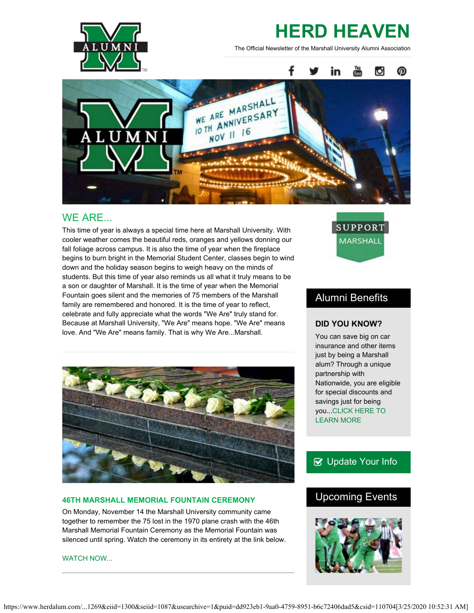

# **HERD HEAVEN**

The Official Newsletter of the Marshall University Alumni Association



## WE ARE...

This time of year is always a special time here at Marshall University. With cooler weather comes the beautiful reds, oranges and yellows donning our fall foliage across campus. It is also the time of year when the fireplace begins to burn bright in the Memorial Student Center, classes begin to wind down and the holiday season begins to weigh heavy on the minds of students. But this time of year also reminds us all what it truly means to be a son or daughter of Marshall. It is the time of year when the Memorial Fountain goes silent and the memories of 75 members of the Marshall family are remembered and honored. It is the time of year to reflect, celebrate and fully appreciate what the words "We Are" truly stand for. Because at Marshall University, "We Are" means hope. "We Are" means love. And "We Are" means family. That is why We Are...Marshall.



#### **46TH MARSHALL MEMORIAL FOUNTAIN CEREMONY**

On Monday, November 14 the Marshall University community came together to remember the 75 lost in the 1970 plane crash with the 46th Marshall Memorial Fountain Ceremony as the Memorial Fountain was silenced until spring. Watch the ceremony in its entirety at the link below.

[WATCH NOW...](https://www.youtube.com/watch?v=1UTa4hcYF9U)

**SUPPORT** MARSHALL

## Alumni Benefits

#### **DID YOU KNOW?**

You can save big on car insurance and other items just by being a Marshall alum? Through a unique partnership with Nationwide, you are eligible for special discounts and savings just for being you..[.CLICK HERE TO](https://www.nationwide.com/marshall.jsp) [LEARN MORE](https://www.nationwide.com/marshall.jsp)

## **B** [Update Your Info](http://www.herdalum.com/s/1269/index.aspx?sid=1269&gid=1&pgid=6&cid=41#/Search/Simple)

# Upcoming Events

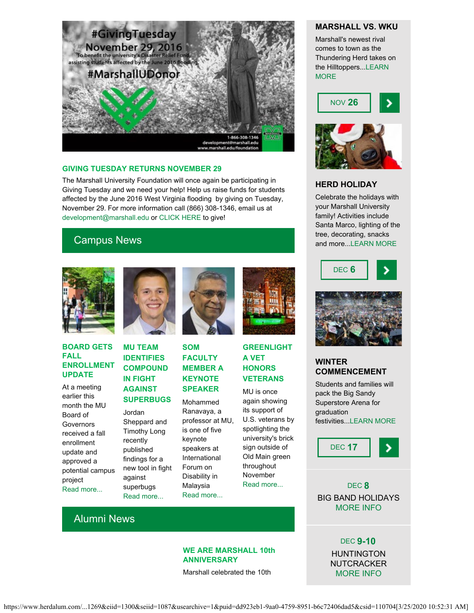

#### **GIVING TUESDAY RETURNS NOVEMBER 29**

The Marshall University Foundation will once again be participating in Giving Tuesday and we need your help! Help us raise funds for students affected by the June 2016 West Virginia flooding by giving on Tuesday, November 29. For more information call (866) 308-1346, email us at [development@marshall.edu](mailto:development@marshall.edu) or [CLICK HERE](https://donatenow.networkforgood.org/mufoundation) to give!

# Campus News



#### **BOARD GETS FALL ENROLLMENT UPDATE**

At a meeting earlier this month the MU Board of **Governors** received a fall enrollment update and approved a potential campus project [Read more...](https://www.marshall.edu/ucomm/2016/11/02/board-gets-fall-enrollment-update-approves-selection-firm-potential-development-project/)



#### **MU TEAM IDENTIFIES COMPOUND IN FIGHT AGAINST SUPERBUGS**

Jordan Sheppard and Timothy Long recently published findings for a new tool in fight against superbugs [Read more...](https://www.marshall.edu/ucomm/2016/11/16/marshall-school-pharmacy-research-team-identifiespossible-new-compound-fight-superbugs/)



**SOM FACULTY MEMBER A KEYNOTE SPEAKER**

Mohammed Ranavaya, a professor at MU, is one of five keynote speakers at International Forum on Disability in Malaysia [Read more...](https://www.marshall.edu/ucomm/2016/11/14/school-of-medicine-faculty-member-tapped-for-keynote-at-international-conference/)



**GREENLIGHT A VET HONORS VETERANS**

MU is once again showing its support of U.S. veterans by spotlighting the university's brick sign outside of Old Main green throughout November [Read more...](https://www.marshall.edu/ucomm/2016/11/04/marshall-university-honor-veterans-greenlight-vet-campaign/)

#### **MARSHALL VS. WKU**

Marshall's newest rival comes to town as the Thundering Herd takes on the Hilltoppers..[.LEARN](http://www.herdzone.com/sports/m-footbl/sched/mars-m-footbl-sched.html) **[MORE](http://www.herdzone.com/sports/m-footbl/sched/mars-m-footbl-sched.html)** 





#### **HERD HOLIDAY**

Celebrate the holidays with your Marshall University family! Activities include Santa Marco, lighting of the tree, decorating, snacks and more..[.LEARN MORE](http://www.marshall.edu/ucomm/herdholiday/)





## **WINTER COMMENCEMENT**

Students and families will pack the Big Sandy Superstore Arena for graduation festivities..[.LEARN MORE](http://www.marshall.edu/commencement/)

DEC **17**

DEC **8** BIG BAND HOLIDAYS [MORE INFO](http://www.marshall.edu/muartistseries/show?id=26)

Alumni News

#### **WE ARE MARSHALL 10th ANNIVERSARY**

Marshall celebrated the 10th

DEC **9-10** HUNTINGTON **NUTCRACKER** [MORE INFO](http://www.marshall.edu/theatre/theatre-season-2016-17/)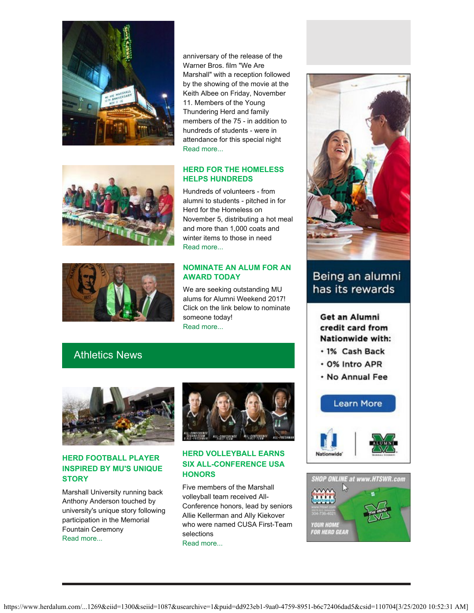

anniversary of the release of the Warner Bros. film "We Are Marshall" with a reception followed by the showing of the movie at the Keith Albee on Friday, November 11. Members of the Young Thundering Herd and family members of the 75 - in addition to hundreds of students - were in attendance for this special night [Read more...](http://muphotos.marshall.edu/Events/Alumni/Tenth-Anniversary-showing-of/)

## **HERD FOR THE HOMELESS HELPS HUNDREDS** Hundreds of volunteers - from

alumni to students - pitched in for Herd for the Homeless on November 5, distributing a hot meal and more than 1,000 coats and winter items to those in need [Read more...](http://marshallparthenon.com/11887/life/we-are-helpers-herd-for-the-homeless/)

#### **NOMINATE AN ALUM FOR AN AWARD TODAY**

We are seeking outstanding MU alums for Alumni Weekend 2017! Click on the link below to nominate someone today! [Read more...](http://www.herdalum.com/s/1269/index.aspx?sid=1269&gid=1&pgid=1006)

# Athletics News



## **HERD FOOTBALL PLAYER INSPIRED BY MU'S UNIQUE STORY**

Marshall University running back Anthony Anderson touched by university's unique story following participation in the Memorial Fountain Ceremony [Read more...](http://www.herald-dispatch.com/sports/marshall_sports/anderson-inspired-by-mu-s-unique-story/article_754b1136-e724-56c1-b397-2dc6b7e39259.html)



#### **HERD VOLLEYBALL EARNS SIX ALL-CONFERENCE USA HONORS**

Five members of the Marshall volleyball team received All-Conference honors, lead by seniors Allie Kellerman and Ally Kiekover who were named CUSA First-Team selections [Read more...](http://www.herdzone.com/sports/w-volley/spec-rel/111616aaa.html)



# Being an alumni has its rewards

## Get an Alumni credit card from Nationwide with:

- · 1% Cash Back
- . 0% Intro APR
- . No Annual Fee